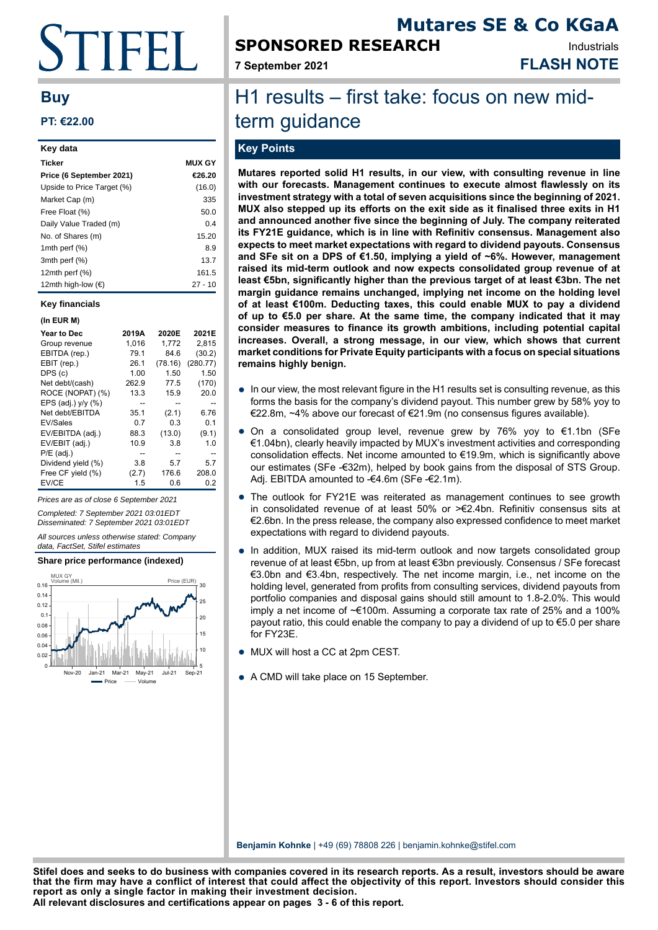# **STIFFI**

### **Buy**

#### **PT: €22.00**

| Key data                   |               |
|----------------------------|---------------|
| <b>Ticker</b>              | <b>MUX GY</b> |
| Price (6 September 2021)   | €26.20        |
| Upside to Price Target (%) | (16.0)        |
| Market Cap (m)             | 335           |
| Free Float (%)             | 50.0          |
| Daily Value Traded (m)     | 0.4           |
| No. of Shares (m)          | 15.20         |
| 1mth perf $(\%)$           | 8.9           |
| 3mth perf (%)              | 13.7          |
| 12 $m$ th perf $(\%)$      | 161.5         |
| 12mth high-low (€)         | 27 - 10       |

#### **Key financials**

#### **(In EUR M) Year to Dec 2019A 2020E 2021E** Group revenue EBITDA (rep.) 79.1 84.6 (30.2)<br>EBIT (rep.) 26.1 (78.16) (280.77) EBIT (rep.) 26.1 (78.16) DPS (c) 1.00 1.50 1.50 Net debt/(cash) 262.9 77.5 (170)<br>ROCE (NOPAT) (%) 13.3 15.9 20.0  $ROCE (NOPAT)$  (%) 13.3 15.9  $EPS$  (adj.) y/y (%)  $-$  - - - - -<br>Net debt/EBITDA 35.1 (2.1) 6.76 Net debt/FBITDA EV/Sales 0.7 0.3 0.1 EV/EBITDA (adj.) 88.3 (13.0) (9.1) EV/EBIT (adj.) 10.9 3.8 1.0 P/E (adj.) -- -- -- Dividend yield  $(% )$  3.8 Free CF yield (%) (2.7) 176.6 208.0

Prices are as of close 6 September 2021

Completed: 7 September 2021 03:01EDT

Disseminated: 7 September 2021 03:01EDT All sources unless otherwise stated: Company data, FactSet, Stifel estimates

EV/CE 1.5 0.6 0.2

#### **Share price performance (indexed)**



# **SPONSORED RESEARCH**

**7 September 2021 FLASH NOTE**

**Mutares SE & Co KGaA**

Industrials

## H1 results – first take: focus on new midterm guidance

#### **Key Points**

**Mutares reported solid H1 results, in our view, with consulting revenue in line with our forecasts. Management continues to execute almost flawlessly on its investment strategy with a total of seven acquisitions since the beginning of 2021. MUX also stepped up its efforts on the exit side as it finalised three exits in H1 and announced another five since the beginning of July. The company reiterated its FY21E guidance, which is in line with Refinitiv consensus. Management also expects to meet market expectations with regard to dividend payouts. Consensus and SFe sit on a DPS of €1.50, implying a yield of ~6%. However, management raised its mid-term outlook and now expects consolidated group revenue of at least €5bn, significantly higher than the previous target of at least €3bn. The net margin guidance remains unchanged, implying net income on the holding level of at least €100m. Deducting taxes, this could enable MUX to pay a dividend of up to €5.0 per share. At the same time, the company indicated that it may consider measures to finance its growth ambitions, including potential capital increases. Overall, a strong message, in our view, which shows that current market conditions for Private Equity participants with a focus on special situations remains highly benign.**

- In our view, the most relevant figure in the H1 results set is consulting revenue, as this forms the basis for the company's dividend payout. This number grow by  $58\%$  you to forms the basis for the company's dividend payout. This number grew by 58% yoy to €22.8m, ~4% above our forecast of €21.9m (no consensus figures available).
- On a consolidated group level, revenue grew by 76% yoy to  $\epsilon$ 1.1bn (SFe €1.04bn), clearly heavily impacted by MUX's investment activities and corresponding consolidation effects. Net income amounted to €19.9m, which is significantly above our estimates (SFe -€32m), helped by book gains from the disposal of STS Group. Adj. EBITDA amounted to -€4.6m (SFe -€2.1m).
- The outlook for FY21E was reiterated as management continues to see growth in consolidated rovenue of at logar  $50\%$  or  $>62.4$  hp. Pofinitive consonaus site at in consolidated revenue of at least 50% or >€2.4bn. Refinitiv consensus sits at €2.6bn. In the press release, the company also expressed confidence to meet market expectations with regard to dividend payouts.
- In addition, MUX raised its mid-term outlook and now targets consolidated group revenue of at least €5bn, up from at least €3bn previously. Consensus / SFe forecast €3.0bn and €3.4bn, respectively. The net income margin, i.e., net income on the holding level, generated from profits from consulting services, dividend payouts from portfolio companies and disposal gains should still amount to 1.8-2.0%. This would imply a net income of ~€100m. Assuming a corporate tax rate of 25% and a 100% payout ratio, this could enable the company to pay a dividend of up to €5.0 per share for FY23E.
- MUX will host a CC at 2pm CEST.
- A CMD will take place on 15 September.

**Benjamin Kohnke** | +49 (69) 78808 226 | benjamin.kohnke@stifel.com

**All relevant disclosures and certifications appear on pages 3 - 6 of this report. Stifel does and seeks to do business with companies covered in its research reports. As a result, investors should be aware that the firm may have a conflict of interest that could affect the objectivity of this report. Investors should consider this report as only a single factor in making their investment decision.**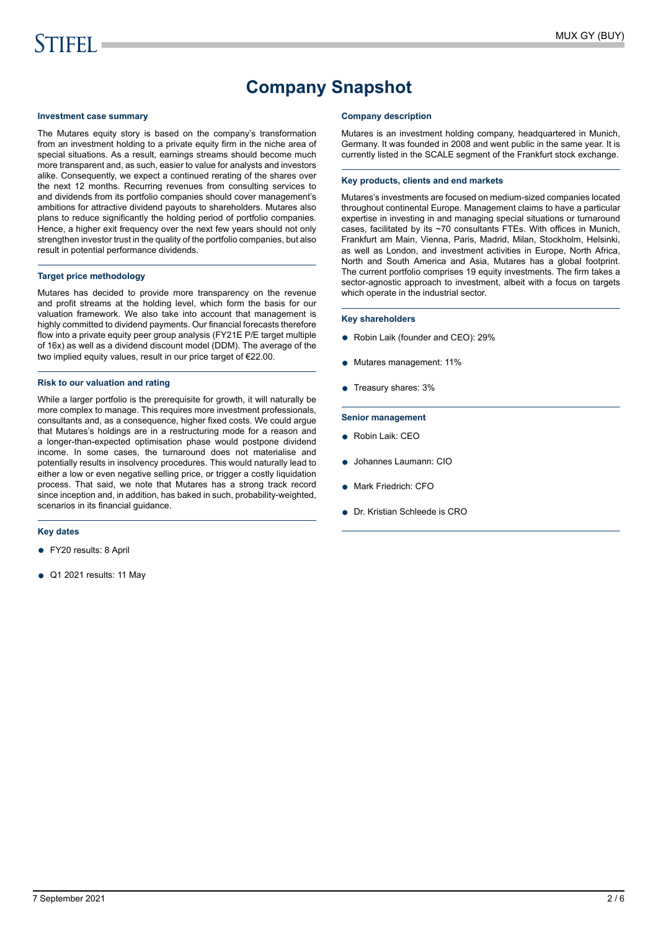## **Company Snapshot**

#### **Investment case summary**

The Mutares equity story is based on the company's transformation from an investment holding to a private equity firm in the niche area of special situations. As a result, earnings streams should become much more transparent and, as such, easier to value for analysts and investors alike. Consequently, we expect a continued rerating of the shares over the next 12 months. Recurring revenues from consulting services to and dividends from its portfolio companies should cover management's ambitions for attractive dividend payouts to shareholders. Mutares also plans to reduce significantly the holding period of portfolio companies. Hence, a higher exit frequency over the next few years should not only strengthen investor trust in the quality of the portfolio companies, but also result in potential performance dividends.

#### **Target price methodology**

Mutares has decided to provide more transparency on the revenue and profit streams at the holding level, which form the basis for our valuation framework. We also take into account that management is highly committed to dividend payments. Our financial forecasts therefore flow into a private equity peer group analysis (FY21E P/E target multiple of 16x) as well as a dividend discount model (DDM). The average of the two implied equity values, result in our price target of €22.00.

#### **Risk to our valuation and rating**

While a larger portfolio is the prerequisite for growth, it will naturally be more complex to manage. This requires more investment professionals, consultants and, as a consequence, higher fixed costs. We could argue that Mutares's holdings are in a restructuring mode for a reason and a longer-than-expected optimisation phase would postpone dividend income. In some cases, the turnaround does not materialise and potentially results in insolvency procedures. This would naturally lead to either a low or even negative selling price, or trigger a costly liquidation process. That said, we note that Mutares has a strong track record since inception and, in addition, has baked in such, probability-weighted, scenarios in its financial guidance.

#### **Key dates**

- FY20 results: 8 April
- Q1 2021 results: 11 May

#### **Company description**

Mutares is an investment holding company, headquartered in Munich, Germany. It was founded in 2008 and went public in the same year. It is currently listed in the SCALE segment of the Frankfurt stock exchange.

#### **Key products, clients and end markets**

Mutares's investments are focused on medium-sized companies located throughout continental Europe. Management claims to have a particular expertise in investing in and managing special situations or turnaround cases, facilitated by its ~70 consultants FTEs. With offices in Munich, Frankfurt am Main, Vienna, Paris, Madrid, Milan, Stockholm, Helsinki, as well as London, and investment activities in Europe, North Africa, North and South America and Asia, Mutares has a global footprint. The current portfolio comprises 19 equity investments. The firm takes a sector-agnostic approach to investment, albeit with a focus on targets which operate in the industrial sector.

#### **Key shareholders**

- Robin Laik (founder and CEO): 29%
- Mutares management: 11%
- Treasury shares: 3%

#### **Senior management**

- Robin Laik: CEO
- Johannes Laumann: CIO
- Mark Friedrich: CFO
- Dr. Kristian Schleede is CRO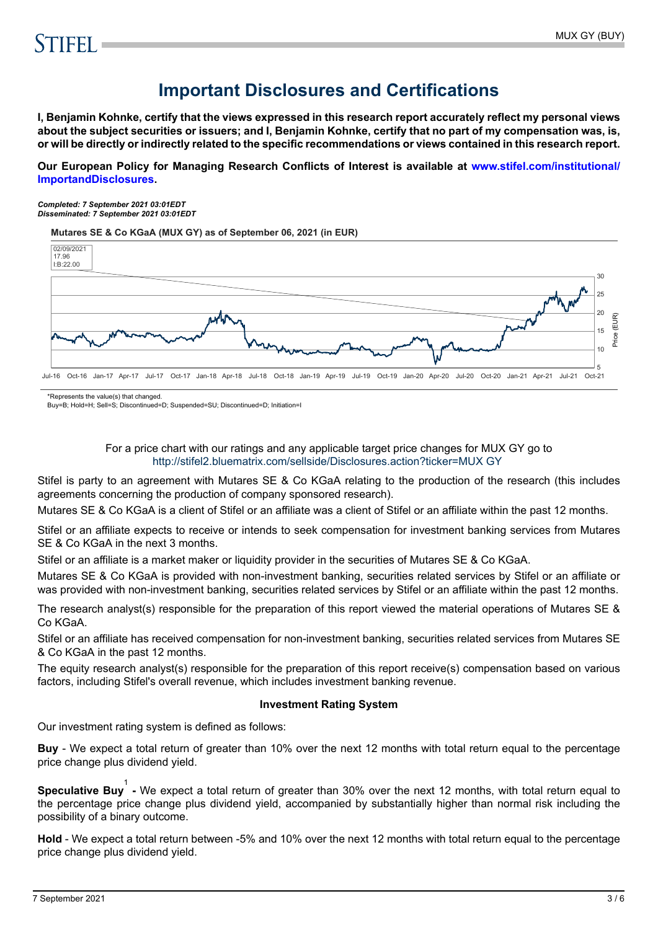## **Important Disclosures and Certifications**

**I, Benjamin Kohnke, certify that the views expressed in this research report accurately reflect my personal views about the subject securities or issuers; and I, Benjamin Kohnke, certify that no part of my compensation was, is, or will be directly or indirectly related to the specific recommendations or views contained in this research report.**

**Our European Policy for Managing Research Conflicts of Interest is available at [www.stifel.com/institutional/](https://www.stifel.com/institutional/ImportantDisclosures) [ImportandDisclosures.](https://www.stifel.com/institutional/ImportantDisclosures)**

*Completed: 7 September 2021 03:01EDT Disseminated: 7 September 2021 03:01EDT*

**Mutares SE & Co KGaA (MUX GY) as of September 06, 2021 (in EUR)**



\*Represents the value(s) that changed.

Buy=B; Hold=H; Sell=S; Discontinued=D; Suspended=SU; Discontinued=D; Initiation=I

#### For a price chart with our ratings and any applicable target price changes for MUX GY go to <http://stifel2.bluematrix.com/sellside/Disclosures.action?ticker=MUX GY>

Stifel is party to an agreement with Mutares SE & Co KGaA relating to the production of the research (this includes agreements concerning the production of company sponsored research).

Mutares SE & Co KGaA is a client of Stifel or an affiliate was a client of Stifel or an affiliate within the past 12 months.

Stifel or an affiliate expects to receive or intends to seek compensation for investment banking services from Mutares SE & Co KGaA in the next 3 months.

Stifel or an affiliate is a market maker or liquidity provider in the securities of Mutares SE & Co KGaA.

Mutares SE & Co KGaA is provided with non-investment banking, securities related services by Stifel or an affiliate or was provided with non-investment banking, securities related services by Stifel or an affiliate within the past 12 months.

The research analyst(s) responsible for the preparation of this report viewed the material operations of Mutares SE & Co KGaA.

Stifel or an affiliate has received compensation for non-investment banking, securities related services from Mutares SE & Co KGaA in the past 12 months.

The equity research analyst(s) responsible for the preparation of this report receive(s) compensation based on various factors, including Stifel's overall revenue, which includes investment banking revenue.

#### **Investment Rating System**

Our investment rating system is defined as follows:

**Buy** - We expect a total return of greater than 10% over the next 12 months with total return equal to the percentage price change plus dividend yield.

**Speculative Buy**<sup>1</sup> - We expect a total return of greater than 30% over the next 12 months, with total return equal to the percentage price change plus dividend yield, accompanied by substantially higher than normal risk including the possibility of a binary outcome.

**Hold** - We expect a total return between -5% and 10% over the next 12 months with total return equal to the percentage price change plus dividend yield.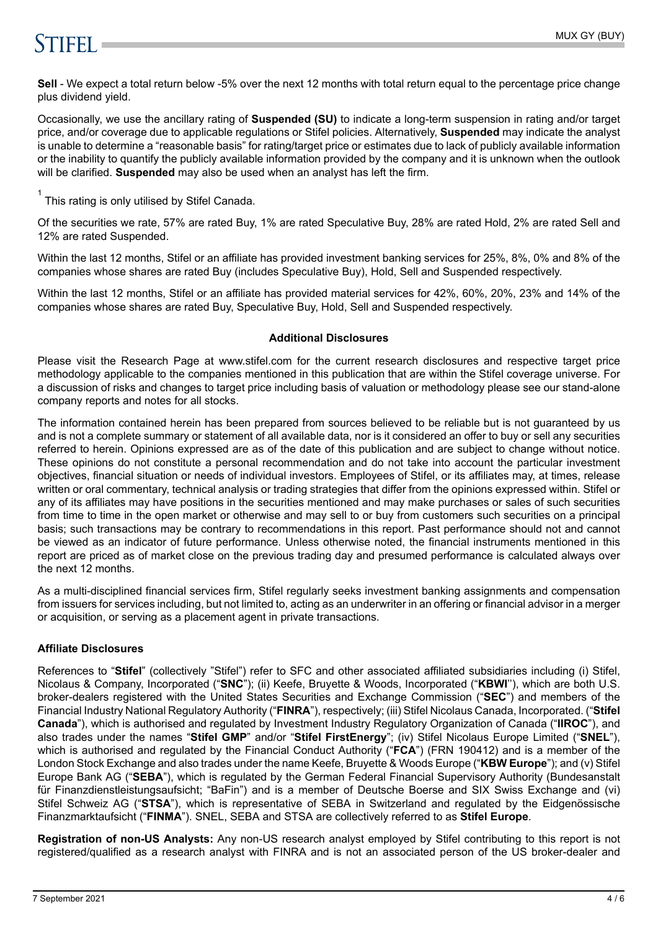# **STIFFI**

**Sell** - We expect a total return below -5% over the next 12 months with total return equal to the percentage price change plus dividend yield.

Occasionally, we use the ancillary rating of **Suspended (SU)** to indicate a long-term suspension in rating and/or target price, and/or coverage due to applicable regulations or Stifel policies. Alternatively, **Suspended** may indicate the analyst is unable to determine a "reasonable basis" for rating/target price or estimates due to lack of publicly available information or the inability to quantify the publicly available information provided by the company and it is unknown when the outlook will be clarified. **Suspended** may also be used when an analyst has left the firm.

 $1$  This rating is only utilised by Stifel Canada.

Of the securities we rate, 57% are rated Buy, 1% are rated Speculative Buy, 28% are rated Hold, 2% are rated Sell and 12% are rated Suspended.

Within the last 12 months, Stifel or an affiliate has provided investment banking services for 25%, 8%, 0% and 8% of the companies whose shares are rated Buy (includes Speculative Buy), Hold, Sell and Suspended respectively.

Within the last 12 months, Stifel or an affiliate has provided material services for 42%, 60%, 20%, 23% and 14% of the companies whose shares are rated Buy, Speculative Buy, Hold, Sell and Suspended respectively.

#### **Additional Disclosures**

Please visit the Research Page at www.stifel.com for the current research disclosures and respective target price methodology applicable to the companies mentioned in this publication that are within the Stifel coverage universe. For a discussion of risks and changes to target price including basis of valuation or methodology please see our stand-alone company reports and notes for all stocks.

The information contained herein has been prepared from sources believed to be reliable but is not guaranteed by us and is not a complete summary or statement of all available data, nor is it considered an offer to buy or sell any securities referred to herein. Opinions expressed are as of the date of this publication and are subject to change without notice. These opinions do not constitute a personal recommendation and do not take into account the particular investment objectives, financial situation or needs of individual investors. Employees of Stifel, or its affiliates may, at times, release written or oral commentary, technical analysis or trading strategies that differ from the opinions expressed within. Stifel or any of its affiliates may have positions in the securities mentioned and may make purchases or sales of such securities from time to time in the open market or otherwise and may sell to or buy from customers such securities on a principal basis; such transactions may be contrary to recommendations in this report. Past performance should not and cannot be viewed as an indicator of future performance. Unless otherwise noted, the financial instruments mentioned in this report are priced as of market close on the previous trading day and presumed performance is calculated always over the next 12 months.

As a multi-disciplined financial services firm, Stifel regularly seeks investment banking assignments and compensation from issuers for services including, but not limited to, acting as an underwriter in an offering or financial advisor in a merger or acquisition, or serving as a placement agent in private transactions.

#### **Affiliate Disclosures**

References to "**Stifel**" (collectively "Stifel") refer to SFC and other associated affiliated subsidiaries including (i) Stifel, Nicolaus & Company, Incorporated ("**SNC**"); (ii) Keefe, Bruyette & Woods, Incorporated ("**KBWI**''), which are both U.S. broker-dealers registered with the United States Securities and Exchange Commission ("**SEC**") and members of the Financial Industry National Regulatory Authority ("**FINRA**"), respectively; (iii) Stifel Nicolaus Canada, Incorporated. ("**Stifel Canada**"), which is authorised and regulated by Investment Industry Regulatory Organization of Canada ("**IIROC**"), and also trades under the names "**Stifel GMP**" and/or "**Stifel FirstEnergy**"; (iv) Stifel Nicolaus Europe Limited ("**SNEL**"), which is authorised and regulated by the Financial Conduct Authority ("**FCA**") (FRN 190412) and is a member of the London Stock Exchange and also trades under the name Keefe, Bruyette & Woods Europe ("**KBW Europe**"); and (v) Stifel Europe Bank AG ("**SEBA**"), which is regulated by the German Federal Financial Supervisory Authority (Bundesanstalt für Finanzdienstleistungsaufsicht; "BaFin") and is a member of Deutsche Boerse and SIX Swiss Exchange and (vi) Stifel Schweiz AG ("**STSA**"), which is representative of SEBA in Switzerland and regulated by the Eidgenössische Finanzmarktaufsicht ("**FINMA**"). SNEL, SEBA and STSA are collectively referred to as **Stifel Europe**.

**Registration of non-US Analysts:** Any non-US research analyst employed by Stifel contributing to this report is not registered/qualified as a research analyst with FINRA and is not an associated person of the US broker-dealer and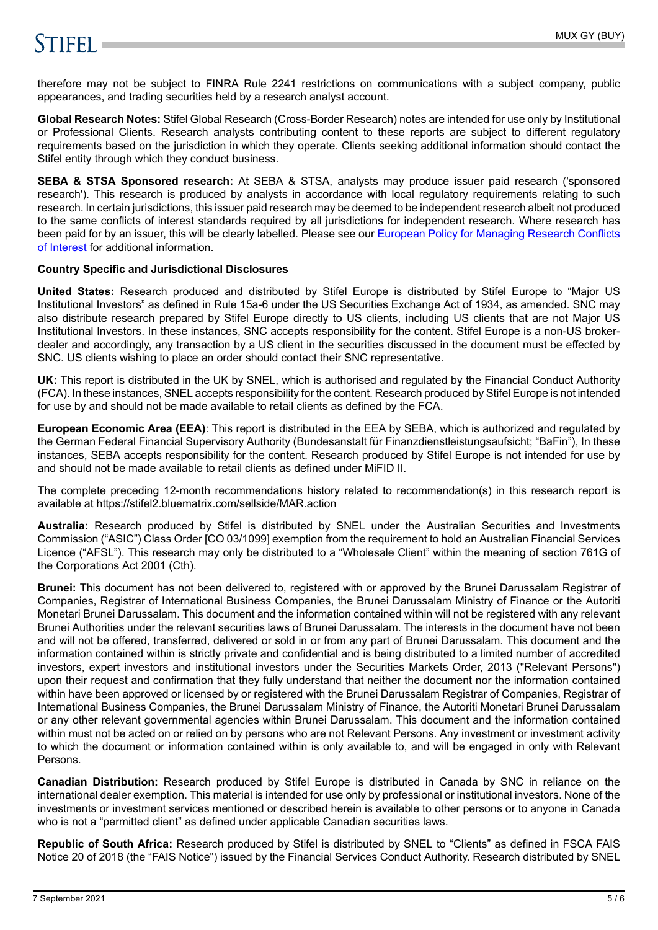# **STIFFLE**

therefore may not be subject to FINRA Rule 2241 restrictions on communications with a subject company, public appearances, and trading securities held by a research analyst account.

**Global Research Notes:** Stifel Global Research (Cross-Border Research) notes are intended for use only by Institutional or Professional Clients. Research analysts contributing content to these reports are subject to different regulatory requirements based on the jurisdiction in which they operate. Clients seeking additional information should contact the Stifel entity through which they conduct business.

**SEBA & STSA Sponsored research:** At SEBA & STSA, analysts may produce issuer paid research ('sponsored research'). This research is produced by analysts in accordance with local regulatory requirements relating to such research. In certain jurisdictions, this issuer paid research may be deemed to be independent research albeit not produced to the same conflicts of interest standards required by all jurisdictions for independent research. Where research has been paid for by an issuer, this will be clearly labelled. Please see our [European Policy for Managing Research Conflicts](https://www.stifel.com/institutional/ImportantDisclosures) [of Interest](https://www.stifel.com/institutional/ImportantDisclosures) for additional information.

#### **Country Specific and Jurisdictional Disclosures**

**United States:** Research produced and distributed by Stifel Europe is distributed by Stifel Europe to "Major US Institutional Investors" as defined in Rule 15a-6 under the US Securities Exchange Act of 1934, as amended. SNC may also distribute research prepared by Stifel Europe directly to US clients, including US clients that are not Major US Institutional Investors. In these instances, SNC accepts responsibility for the content. Stifel Europe is a non-US brokerdealer and accordingly, any transaction by a US client in the securities discussed in the document must be effected by SNC. US clients wishing to place an order should contact their SNC representative.

**UK:** This report is distributed in the UK by SNEL, which is authorised and regulated by the Financial Conduct Authority (FCA). In these instances, SNEL accepts responsibility for the content. Research produced by Stifel Europe is not intended for use by and should not be made available to retail clients as defined by the FCA.

**European Economic Area (EEA)**: This report is distributed in the EEA by SEBA, which is authorized and regulated by the German Federal Financial Supervisory Authority (Bundesanstalt für Finanzdienstleistungsaufsicht; "BaFin"), In these instances, SEBA accepts responsibility for the content. Research produced by Stifel Europe is not intended for use by and should not be made available to retail clients as defined under MiFID II.

The complete preceding 12-month recommendations history related to recommendation(s) in this research report is available at https://stifel2.bluematrix.com/sellside/MAR.action

**Australia:** Research produced by Stifel is distributed by SNEL under the Australian Securities and Investments Commission ("ASIC") Class Order [CO 03/1099] exemption from the requirement to hold an Australian Financial Services Licence ("AFSL"). This research may only be distributed to a "Wholesale Client" within the meaning of section 761G of the Corporations Act 2001 (Cth).

**Brunei:** This document has not been delivered to, registered with or approved by the Brunei Darussalam Registrar of Companies, Registrar of International Business Companies, the Brunei Darussalam Ministry of Finance or the Autoriti Monetari Brunei Darussalam. This document and the information contained within will not be registered with any relevant Brunei Authorities under the relevant securities laws of Brunei Darussalam. The interests in the document have not been and will not be offered, transferred, delivered or sold in or from any part of Brunei Darussalam. This document and the information contained within is strictly private and confidential and is being distributed to a limited number of accredited investors, expert investors and institutional investors under the Securities Markets Order, 2013 ("Relevant Persons") upon their request and confirmation that they fully understand that neither the document nor the information contained within have been approved or licensed by or registered with the Brunei Darussalam Registrar of Companies, Registrar of International Business Companies, the Brunei Darussalam Ministry of Finance, the Autoriti Monetari Brunei Darussalam or any other relevant governmental agencies within Brunei Darussalam. This document and the information contained within must not be acted on or relied on by persons who are not Relevant Persons. Any investment or investment activity to which the document or information contained within is only available to, and will be engaged in only with Relevant Persons.

**Canadian Distribution:** Research produced by Stifel Europe is distributed in Canada by SNC in reliance on the international dealer exemption. This material is intended for use only by professional or institutional investors. None of the investments or investment services mentioned or described herein is available to other persons or to anyone in Canada who is not a "permitted client" as defined under applicable Canadian securities laws.

**Republic of South Africa:** Research produced by Stifel is distributed by SNEL to "Clients" as defined in FSCA FAIS Notice 20 of 2018 (the "FAIS Notice") issued by the Financial Services Conduct Authority. Research distributed by SNEL